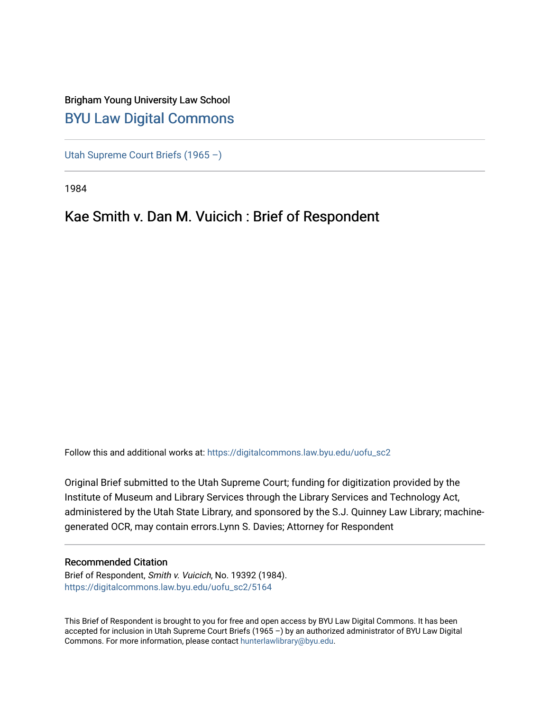# Brigham Young University Law School [BYU Law Digital Commons](https://digitalcommons.law.byu.edu/)

[Utah Supreme Court Briefs \(1965 –\)](https://digitalcommons.law.byu.edu/uofu_sc2)

1984

# Kae Smith v. Dan M. Vuicich : Brief of Respondent

Follow this and additional works at: [https://digitalcommons.law.byu.edu/uofu\\_sc2](https://digitalcommons.law.byu.edu/uofu_sc2?utm_source=digitalcommons.law.byu.edu%2Fuofu_sc2%2F5164&utm_medium=PDF&utm_campaign=PDFCoverPages)

Original Brief submitted to the Utah Supreme Court; funding for digitization provided by the Institute of Museum and Library Services through the Library Services and Technology Act, administered by the Utah State Library, and sponsored by the S.J. Quinney Law Library; machinegenerated OCR, may contain errors.Lynn S. Davies; Attorney for Respondent

# Recommended Citation

Brief of Respondent, Smith v. Vuicich, No. 19392 (1984). [https://digitalcommons.law.byu.edu/uofu\\_sc2/5164](https://digitalcommons.law.byu.edu/uofu_sc2/5164?utm_source=digitalcommons.law.byu.edu%2Fuofu_sc2%2F5164&utm_medium=PDF&utm_campaign=PDFCoverPages) 

This Brief of Respondent is brought to you for free and open access by BYU Law Digital Commons. It has been accepted for inclusion in Utah Supreme Court Briefs (1965 –) by an authorized administrator of BYU Law Digital Commons. For more information, please contact [hunterlawlibrary@byu.edu](mailto:hunterlawlibrary@byu.edu).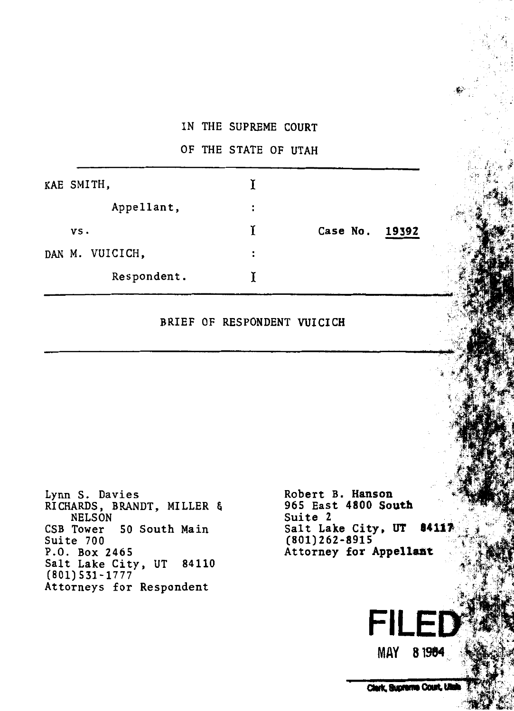## IN THE SUPREME COURT

#### OF THE STATE OF UTAH

| KAE SMITH,      |    |                   |
|-----------------|----|-------------------|
| Appellant,      | :  |                   |
| VS.             | ¥. | Case No.<br>19392 |
| DAN M. VUICICH, | :  |                   |
| Respondent.     |    |                   |

## BRIEF OF RESPONDENT VUICICH

Lynn S. Davies RICHARDS, BRANDT, MILLER & NELSON CSB Tower 50 South Main Suite 700 P.O. Box 2465 Salt Lake City, UT 84110 (801) 531-1777 Attorneys for Respondent

Robert B. Hanson 965 East 4800 South Suite 2 Salt Lake City, UT 84117  $(801) 262 - 8915$ Attorney for Appellant

Clerk, Supreme Court, Utal

MAY 81984

**FILE**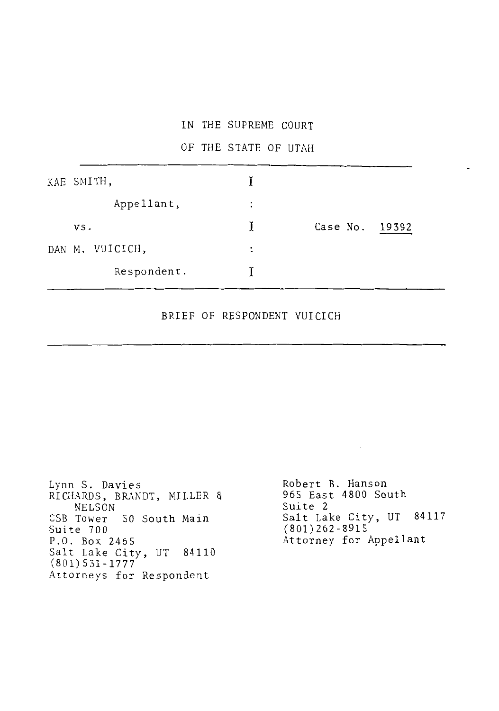#### IN THE SUPREME COURT

## OF THE STATE OF UTAH

| KAE SMITH,      |                      |                |  |
|-----------------|----------------------|----------------|--|
| Appellant,      | $\ddot{\cdot}$       |                |  |
| vs.             | L                    | Case No. 19392 |  |
| DAN M. VUICICH, | $\ddot{\phantom{a}}$ |                |  |
| Respondent.     |                      |                |  |

### BRIEF OF RESPONDENT VUICICH

Lynn S. Davies RICHARDS, BRANDT, MILLER & NELSON CSB Tower 50 South Main Suite 700 P.O. Box 2465 Salt Lake City, UT 84110 (801) 531-1777 Attorneys for Respondent

Robert B. Hanson 965 East 4800 South Suite 2 Salt Lake City, UT 84117 (801)262-8915 Attorney for Appellant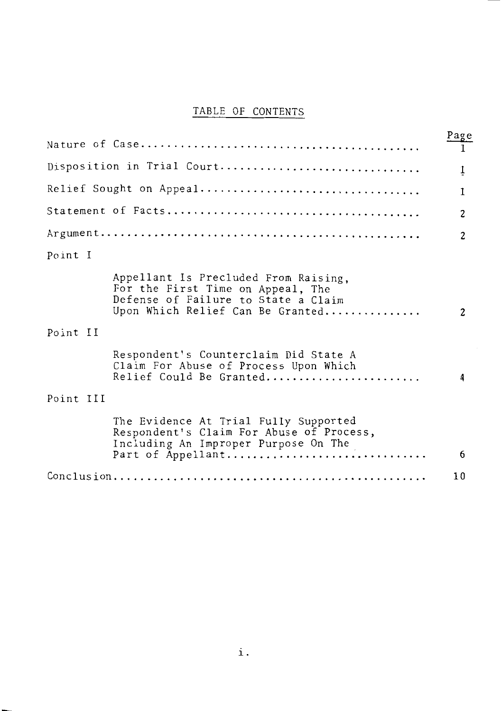# TABLE OF CONTENTS

|           |                                                                                                                                                      | Page           |
|-----------|------------------------------------------------------------------------------------------------------------------------------------------------------|----------------|
|           |                                                                                                                                                      |                |
|           | Disposition in Trial Court                                                                                                                           | 1              |
|           |                                                                                                                                                      | 1              |
|           |                                                                                                                                                      | $\overline{c}$ |
|           |                                                                                                                                                      | $\overline{c}$ |
| Point I   |                                                                                                                                                      |                |
|           | Appellant Is Precluded From Raising,<br>For the First Time on Appeal, The<br>Defense of Failure to State a Claim<br>Upon Which Relief Can Be Granted | $\overline{c}$ |
| Point II  |                                                                                                                                                      |                |
|           | Respondent's Counterclaim Did State A<br>Claim For Abuse of Process Upon Which<br>Relief Could Be Granted                                            | 4              |
| Point III |                                                                                                                                                      |                |
|           | The Evidence At Trial Fully Supported<br>Respondent's Claim For Abuse of Process,<br>Including An Improper Purpose On The                            |                |
|           | Part of Appellant                                                                                                                                    | 6              |
|           |                                                                                                                                                      | 10             |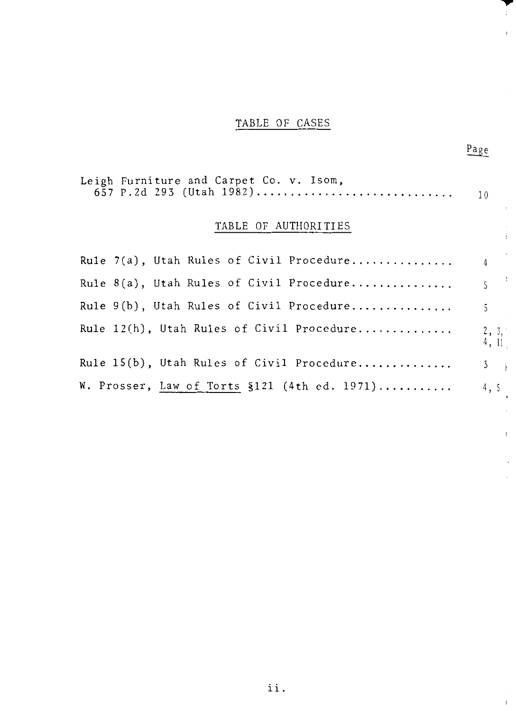# TABLE OF CASES

T  $\bar{1}$ 

¥.  $\overline{\phantom{a}}$  $\bar{t}$ 

 $\bar{1}$ 

 $Page$ </u>

| Leigh Furniture and Carpet Co. v. Isom,      |                  |
|----------------------------------------------|------------------|
| TABLE OF AUTHORITIES                         |                  |
|                                              |                  |
| Rule 8(a), Utah Rules of Civil Procedure     | 5 <sup>1</sup>   |
| Rule 9(b), Utah Rules of Civil Procedure     | 5 <sub>1</sub>   |
| Rule 12(h), Utah Rules of Civil Procedure    | 2, 3, 7<br>4, 11 |
| Rule 15(b), Utah Rules of Civil Procedure    | $3 \mid$         |
| W. Prosser, Law of Torts §121 (4th ed. 1971) | 4, 5             |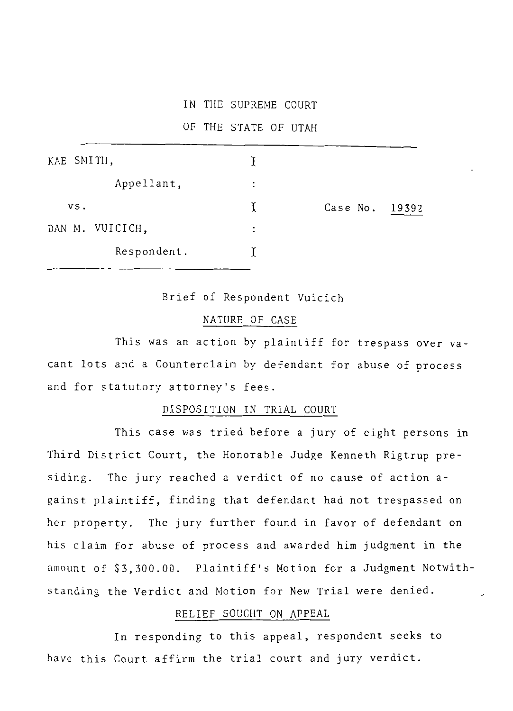#### IN THE SUPREME COURT

OF THE STATE OF UTAH

| KAE SMITH,      |                |          |       |
|-----------------|----------------|----------|-------|
| Appellant,      | :              |          |       |
| VS.             | T              | Case No. | 19392 |
| DAN M. VUICICH, | $\ddot{\cdot}$ |          |       |
| Respondent.     |                |          |       |

Brief of Respondent Vuicich

#### NATURE OF CASE

This was an action by plaintiff for trespass over vacant lots and a Counterclaim by defendant for abuse of process and for statutory attorney's fees.

#### DISPOSITION IN TRIAL COURT

This case was tried before a jury of eight persons in Third District Court, the Honorable Judge Kenneth Rigtrup presiding. The jury reached a verdict of no cause of action against plaintiff, finding that defendant had not trespassed on her property. The jury further found in favor of defendant on his claim for abuse of process and awarded him judgment in the amount of \$3,300.00. Plaintiff's Motion for a Judgment Notwithstanding the Verdict and Motion for New Trial were denied.

#### RELIEF SOUGHT ON APPEAL

In responding to this appeal, respondent seeks to have this Court affirm the trial court and jury verdict.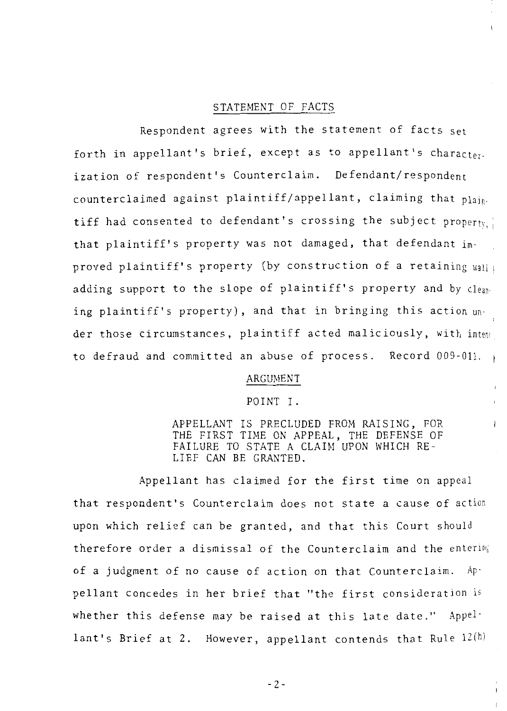#### STATEMENT OF FACTS

Respondent agrees with the statement of facts set forth in appellant's brief, except as to appellant's character. ization of respondent's Counterclaim. Defendant/respondent counterclaimed against plaintiff/appellant, claiming that plaintiff had consented to defendant's crossing the subject property; that plaintiff's property was not damaged, that defendant improved plaintiff's property (by construction of a retaining wall adding support to the slope of plaintiff's property and by cleaning plaintiff's property), and that in bringing this action under those circumstances, plaintiff acted maliciously, with inten' to defraud and committed an abuse of process. Record 009-011.

#### ARGUMENT

#### POINT I.

APPELLANT IS PRECLUDED FROM RAISING, FOR THE FIRST TIME ON APPEAL, THE DEFENSE OF FAILURE TO STATE A CLAIM UPON WHICH RE-LIEF CAN BE GRANTED.

Appellant has claimed for the first time on appeal that respondent's Counterclaim does not state a cause of action upon which relief can be granted, and that this Court should therefore order a dismissal of the Counterclaim and the entenn; of a judgment of no cause of action on that Counterclaim. Appellant concedes in her brief that "the first consideration is whether this defense may be raised at this late date." Appellant's Brief at 2. However, appellant contends that Rule  $12(h)$ 

 $-2 -$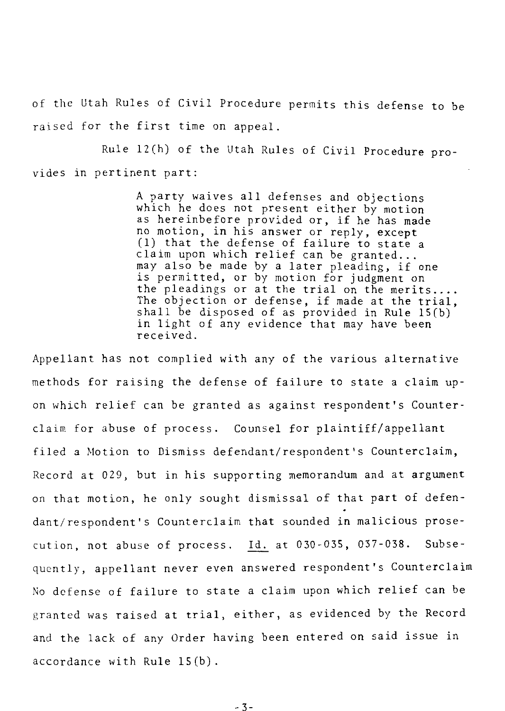of the Utah Rules of Civil Procedure permits this defense to be raised for the first time on appeal.

Rule 12(h) of the Utah Rules of Civil Procedure provides in pertinent part:

> A party waives all defenses and objections as hereinbefore provided or, if he has made<br>no motion, in his answer or reply, except<br>(1) that the defense of failure to state a claim upon which relief can be granted...<br>may also be made by a later pleading, if one<br>is permitted, or by motion for judgment on<br>the pleadings or at the trial on the merits....<br>The objection or defense, if made at the tri shall be disposed of as provided in Rule lS(b) in light of any evidence that may have been received.

Appellant has not complied with any of the various alternative methods for raising the defense of failure to state a claim upon which relief can be granted as against respondent's Counterclaim for abuse of process. Counsel for plaintiff/appellant filed a Motion to Dismiss defendant/respondent's Counterclaim, Record at 029, but in his supporting memorandum and at argument on that motion, he only sought dismissal of that part of defendant/respondent's Counterclaim that sounded in malicious prosecution, not abuse of process. Id. at 030-035, 037-038. Subsequently, appellant never even answered respondent's Counterclaim No defense of failure to state a claim upon which relief can be granted was raised at trial, either, as evidenced by the Record and the lack of any Order having been entered on said issue in accordance with Rule lS(b).

-3-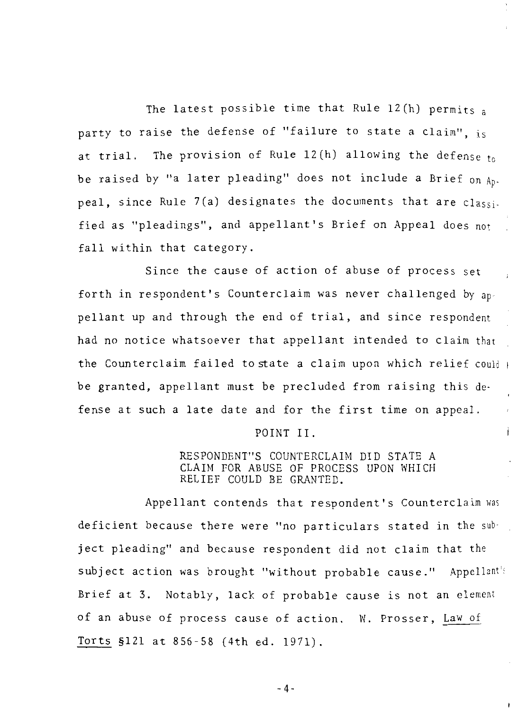The latest possible time that Rule  $12(h)$  permits a party to raise the defense of "failure to state a claim", is at trial. The provision of Rule  $12(h)$  allowing the defense to be raised by "a later pleading" does not include a Brief on  $A_{D}$ . peal, since Rule 7(a) designates the documents that are classified as "pleadings", and appellant's Brief on Appeal does not fall within that category.

Since the cause of action of abuse of process set forth in respondent's Counterclaim was never challenged by appellant up and through the end of trial, and since respondent had no notice whatsoever that appellant intended to claim that the Counterclaim failed to state a claim upon which relief could  $\mathsf{I}$ be granted, appellant must be precluded from raising this defense at such a late date and for the first time on appeal.

#### POINT II.

#### RESPONDENT"S COUNTERCLAIM DID STATE A CLAIM FOR ABUSE OF PROCESS UPON WHICH RELIEF COULD BE GRANTED.

Appellant contends that respondent's Counterclaim was deficient because there were "no particulars stated in the subject pleading" and because respondent did not claim that the subject action was brought "without probable cause." Appellant's Brief at 3. Notably, lack of probable cause is not an element of an abuse of process cause of action. W. Prosser, Law of Torts §121 at 856-58 (4th ed. 1971).

 $-4-$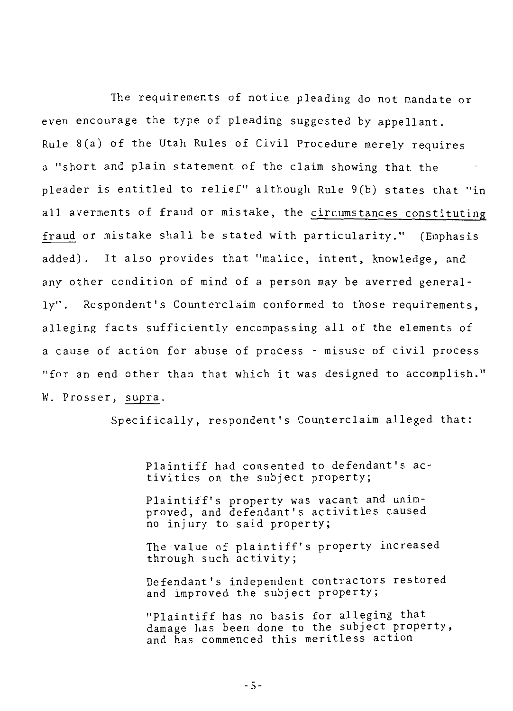The requirements of notice pleading do not mandate or even encourage the type of pleading suggested by appellant. Rule S(a) of the Utah Rules of Civil Procedure merely requires a "short and plain statement of the claim showing that the pleader is entitled to relief" although Rule 9(b) states that "in all averments of fraud or mistake, the circumstances constituting fraud or mistake shall be stated with particularity." (Emphasis added) . It also provides that "malice, intent, knowledge, and any other condition of mind of a person may be averred generally". Respondent's Counterclaim conformed to those requirements, alleging facts sufficiently encompassing all of the elements of a cause of action for abuse of process - misuse of civil process "for an end other than that which it was designed to accomplish." W. Prosser, supra.

Specifically, respondent's Counterclaim alleged that:

Plaintiff had consented to defendant's ac- tivities on the subject property;

Plaintiff's property was vacant and unimproved, and defendant's activities caused no injury to said property;

The value of plaintiff's property increased through such activity;

Defendant's independent contractors restored and improved the subject property;

"Plaintiff has no basis for alleging that damage has been done to the subject property, and has commenced this meritless action

-5-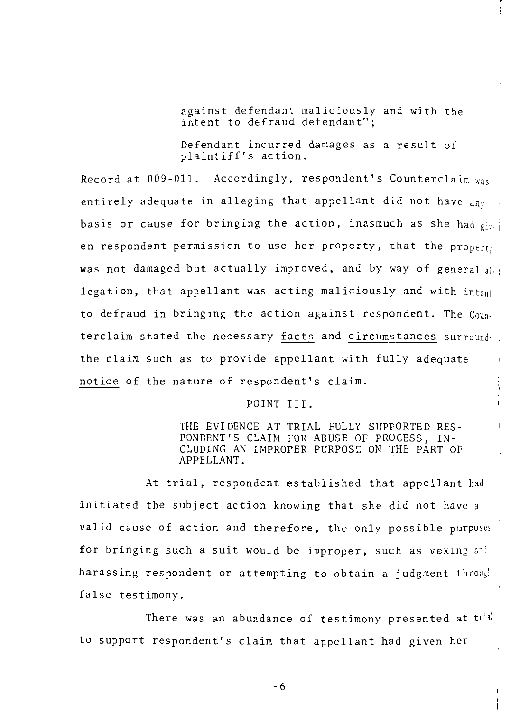against defendant maliciously and with the intent to defraud defendant";

Defendant incurred damages as a result of plaintiff's action.

Record at  $009-011$ . Accordingly, respondent's Counterclaim was entirely adequate in alleging that appellant did not have any basis or cause for bringing the action, inasmuch as she had  $q_{i\nu-1}$ en respondent permission to use her property, that the property was not damaged but actually improved, and by way of general  $a_{i,j}$ legation, that appellant was acting maliciously and with intent to defraud in bringing the action against respondent. The Counterclaim stated the necessary facts and circumstances surroundthe claim such as to provide appellant with fully adequate notice of the nature of respondent's claim.

POINT III.

THE EVIDENCE AT TRIAL FULLY SUPPORTED RES-PONDENT'S CLAIM FOR ABUSE OF PROCESS, IN-CLUDING AN IMPROPER PURPOSE ON THE PART OF APPELLANT.

At trial, respondent established that appellant had initiated the subject action knowing that she did not have a valid cause of action and therefore, the only possible purposes for bringing such a suit would be improper, such as vexing and harassing respondent or attempting to obtain a judgment through false testimony.

There was an abundance of testimony presented at trial to support respondent's claim that appellant had given her

-6-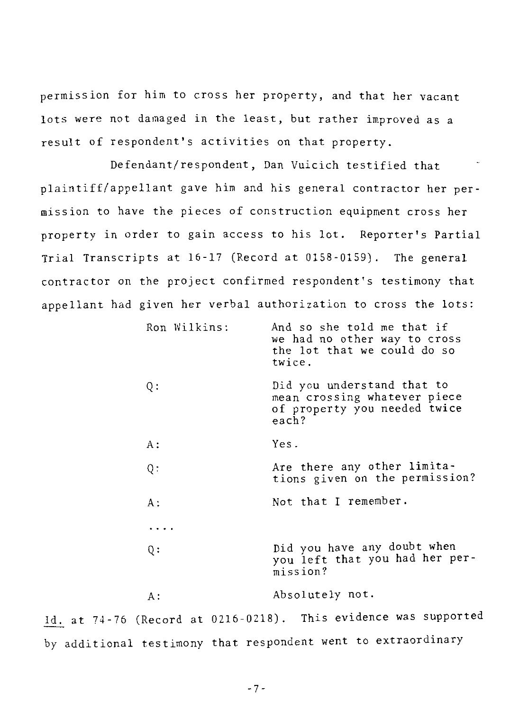permission for him to cross her property, and that her vacant lots were not damaged in the least, but rather improved as a result of respondent's activities on that property.

Defendant/respondent, Dan Vuicich testified that plaintiff/appellant gave him and his general contractor her permission to have the pieces of construction equipment cross her property in order to gain access to his lot. Reporter's Partial Trial Transcripts at 16-17 (Record at 0158-0159). The general contractor on the project confirmed respondent's testimony that appellant had given her verbal authorization to cross the lots:

| Ron Wilkins: | And so she told me that if<br>we had no other way to cross<br>the lot that we could do so<br>twice. |
|--------------|-----------------------------------------------------------------------------------------------------|
| Q:           | Did you understand that to<br>mean crossing whatever piece<br>of property you needed twice<br>each? |
| A :          | Yes.                                                                                                |
| Q:           | Are there any other limita-<br>tions given on the permission?                                       |
| A :          | Not that I remember.                                                                                |
| .            |                                                                                                     |
| Q:           | Did you have any doubt when<br>you left that you had her per-<br>mission?                           |
| А :          | Absolutely not.                                                                                     |
|              |                                                                                                     |

Id. at 74-76 (Record at 0216-0218). This evidence was supported by additional testimony that respondent went to extraordinary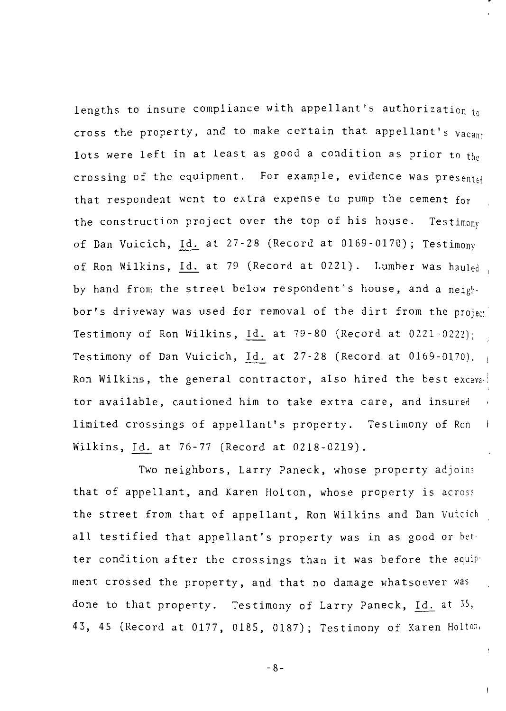lengths to insure compliance with appellant's authorization  $t_0$ cross the property, and to make certain that appellant's vacant lots were left in at least as good a condition as prior to the crossing of the equipment. For example, evidence was presented that respondent went to extra expense to pump the cement for the construction project over the top of his house. Testimony of Dan Vuicich, Id. at 27-28 (Record at 0169-0170); Testimony of Ron Wilkins, Id. at 79 (Record at 0221). Lumber was hauled by hand from the street below respondent's house, and a neighbor's driveway was used for removal of the dirt from the projec: Testimony of Ron Wilkins, Id. at 79-80 (Record at 0221-0222); Testimony of Dan Vuicich, Id. at 27-28 (Record at 0169-0170). Ron Wilkins, the general contractor, also hired the best excavator available, cautioned him to take extra care, and insured limited crossings of appellant's property. Testimony of Ron  $\mathbf{f}$ Wilkins, Id. at 76-77 (Record at 0218-0219).

Two neighbors, Larry Paneck, whose property adjoins that of appellant, and Karen Holton, whose property is across the street from that of appellant, Ron Wilkins and Dan Vuicich all testified that appellant's property was in as good or bet· ter condition after the crossings than it was before the equip· ment crossed the property, and that no damage whatsoever was done to that property. Testimony of Larry Paneck, Id. at 35, 43, 45 (Record at 0177, 0185, 0187); Testimony of Karen Holton,

-8-

<sup>3</sup>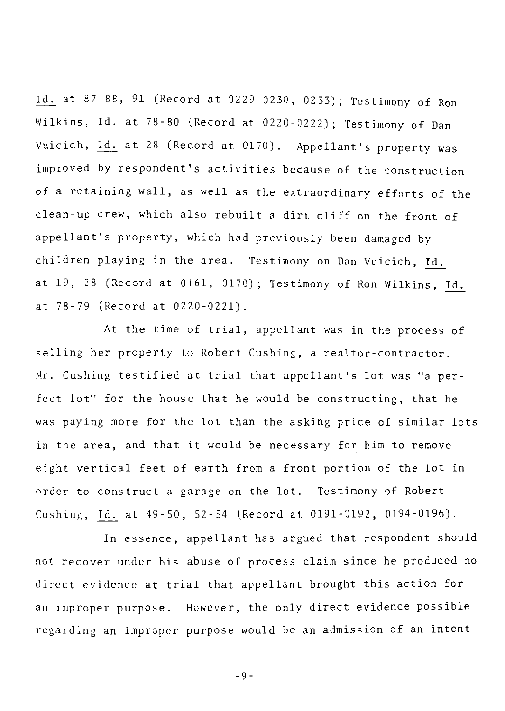87-88, 91 (Record at 0229-0230, 0233); Testimony of Ron Wilkins, Id. at 78-80 (Record at 0220-0222); Testimony of Dan Vuicich, Id. at 28 (Record at 0170). Appellant's property was improved by respondent's activities because of the construction of a retaining wall, as well as the extraordinary efforts of the clean-up crew, which also rebuilt a dirt cliff on the front of appellant's property, which had previously been damaged by children playing in the area. Testimony on Dan Vuicich, Id. at 19, 28 (Record at 0161, 0170); Testimony of Ron Wilkins, Id. at 78-79 (Record at 0220-0221).

At the time of trial, appellant was in the process of selling her property to Robert Cushing, a realtor-contractor. Mr. Cushing testified at trial that appellant's lot was "a perfect lot" for the house that he would be constructing, that he was paying more for the lot than the asking price of similar lots in the area, and that it would be necessary for him to remove eight vertical feet of earth from a front portion of the lot in order to construct a garage on the lot. Testimony of Robert Cushing, Id. at 49-50, 52-54 (Record at 0191-0192, 0194-0196).

In essence, appellant has argued that respondent should not recover under his abuse of process claim since he produced no direct evidence at trial that appellant brought this action for an improper purpose. However, the only direct evidence possible regarding an improper purpose would be an admission of an intent

-9-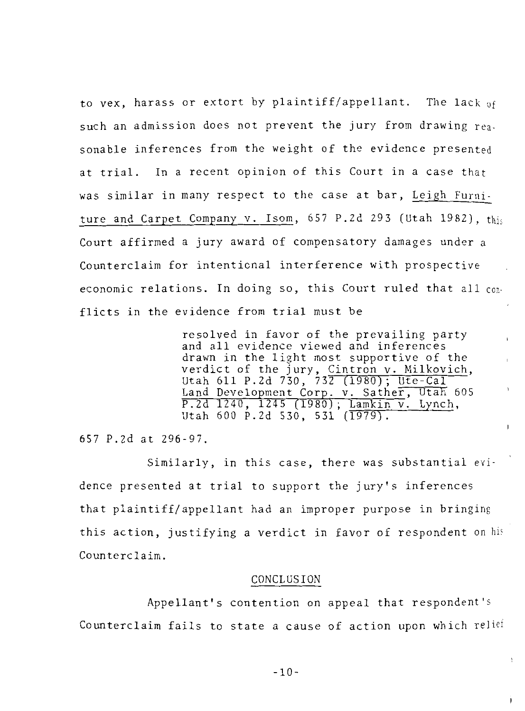to vex, harass or extort by plaintiff/appellant. The lack of such an admission does not prevent the jury from drawing reasonable inferences from the weight of the evidence presented at trial. In a recent opinion of this Court in a case that was similar in many respect to the case at bar, Leigh Furniture and Carpet Company v. Isom, 657 P.2d 293 (Utah 1982), thi; Court affirmed a jury award of compensatory damages under a Counterclaim for intentional interference with prospective economic relations. In doing so, this Court ruled that all conflicts in the evidence from trial must be

> resolved in favor of the prevailing party and all evidence viewed and inferences drawn in the light most supportive of the verdict of the jury, Cintron v. Milkovich, Utah 611 P.2d 730, 732 (1980); Ute-Cal Land Development Corp. v. Sather, Utah 605 P.2d 1240, 1245 (1980); Lamkin v. Lynch, Utah 600 P.2d 530, 531 (1979).

> > $\mathbf{r}$

v.

í.

657 P.2d at 296-97.

Similarly, in this case, there was substantial evidence presented at trial to support the jury's inferences that plaintiff/appellant had an improper purpose in bringing this action, justifying a verdict in favor of respondent on his Counterclaim.

#### CONCLUSION

Appellant's contention on appeal that respondent's Counterclaim fails to state a cause of action upon which reliei

 $-10-$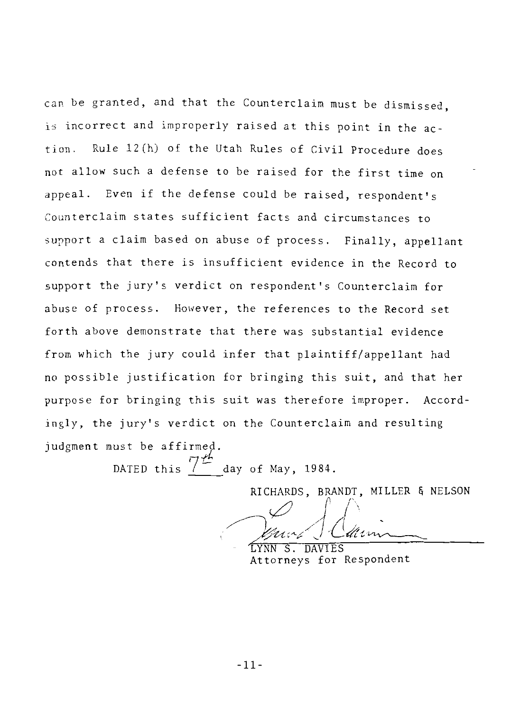can be granted, and that the Counterclaim must be dismissed, is incorrect and improperly raised at this point in the action. Rule 12(h) of the Utah Rules of Civil Procedure does not allow such a defense to be raised for the first time on appeal. Even if the defense could be raised, respondent's Counterclaim states sufficient facts and circumstances to support a claim based on abuse of process. Finally, appellant contends that there is insufficient evidence in the Record to support the jury's verdict on respondent's Counterclaim for abuse of process. However, the references to the Record set forth above demonstrate that there was substantial evidence from which the jury could infer that plaintiff/appellant had no possible justification for bringing this suit, and that her purpose for bringing this suit was therefore improper. Accordingly, the jury's verdict on the Counterclaim and resulting iudgment must be affirmed.

DATED this  $7<sup>t</sup>$  day of May, 1984.

RICHARDS, BRANDT, MILLER & NELSON

<sup>0</sup>*{* /' //(,'

DAVIES Attorneys for Respondent